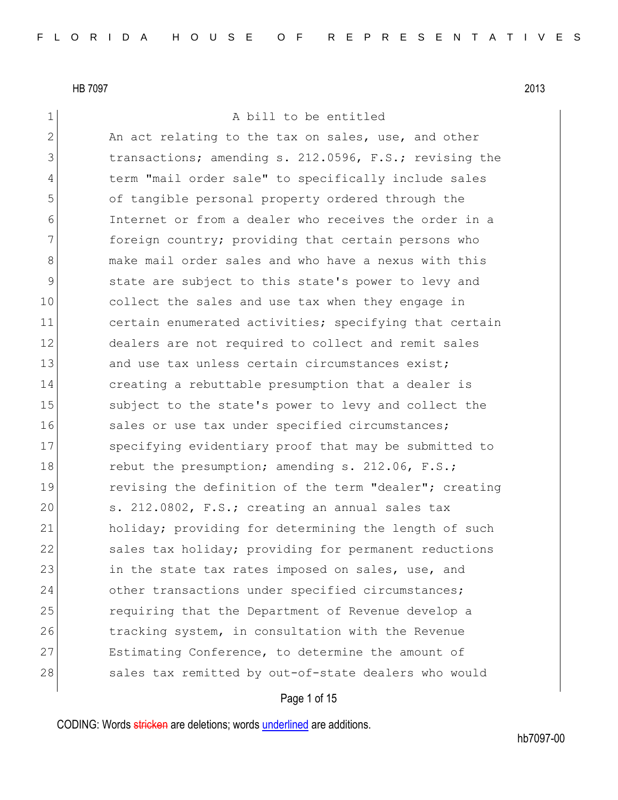# 1 A bill to be entitled

2 An act relating to the tax on sales, use, and other 3 1 transactions; amending s. 212.0596, F.S.; revising the 4 term "mail order sale" to specifically include sales 5 of tangible personal property ordered through the 6 Internet or from a dealer who receives the order in a 7 **foreign country;** providing that certain persons who 8 and Make mail order sales and who have a nexus with this 9 state are subject to this state's power to levy and 10 collect the sales and use tax when they engage in 11 certain enumerated activities; specifying that certain 12 dealers are not required to collect and remit sales 13 and use tax unless certain circumstances exist; 14 creating a rebuttable presumption that a dealer is 15 Subject to the state's power to levy and collect the 16 sales or use tax under specified circumstances; 17 Specifying evidentiary proof that may be submitted to 18 rebut the presumption; amending s. 212.06, F.S.; 19 19 revising the definition of the term "dealer"; creating 20 s. 212.0802, F.S.; creating an annual sales tax 21 holiday; providing for determining the length of such 22 sales tax holiday; providing for permanent reductions 23 in the state tax rates imposed on sales, use, and 24 other transactions under specified circumstances; 25 requiring that the Department of Revenue develop a 26 tracking system, in consultation with the Revenue 27 Estimating Conference, to determine the amount of 28 sales tax remitted by out-of-state dealers who would

# Page 1 of 15

CODING: Words stricken are deletions; words underlined are additions.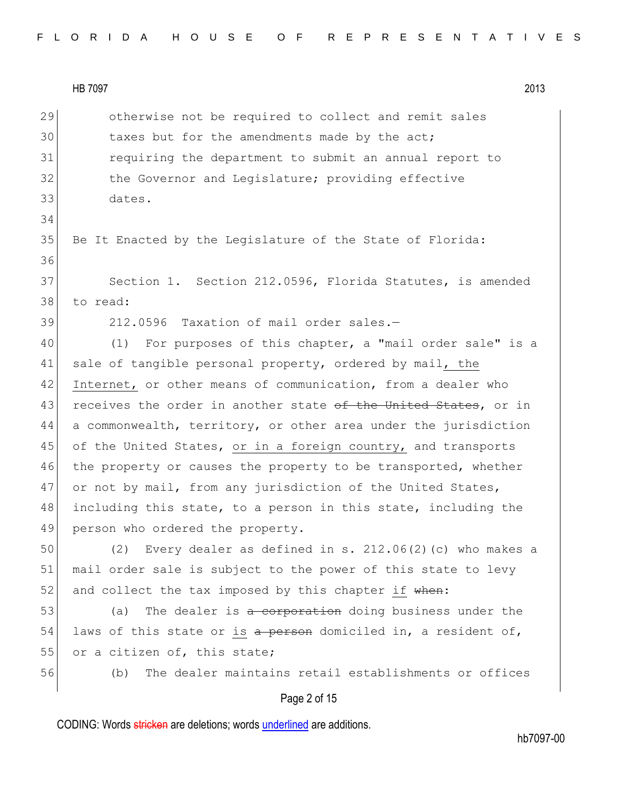34

29 otherwise not be required to collect and remit sales 30 taxes but for the amendments made by the act; 31 requiring the department to submit an annual report to 32 the Governor and Legislature; providing effective 33 dates.

35 Be It Enacted by the Legislature of the State of Florida: 36 37 Section 1. Section 212.0596, Florida Statutes, is amended

38 to read:

39 212.0596 Taxation of mail order sales.-

40 (1) For purposes of this chapter, a "mail order sale" is a 41 sale of tangible personal property, ordered by mail, the 42 Internet, or other means of communication, from a dealer who 43 receives the order in another state of the United States, or in 44 a commonwealth, territory, or other area under the jurisdiction 45 of the United States, or in a foreign country, and transports 46 the property or causes the property to be transported, whether 47 or not by mail, from any jurisdiction of the United States, 48 including this state, to a person in this state, including the 49 person who ordered the property.

50 (2) Every dealer as defined in s. 212.06(2)(c) who makes a 51 mail order sale is subject to the power of this state to levy  $52$  and collect the tax imposed by this chapter if when:

53 (a) The dealer is a corporation doing business under the 54 laws of this state or is a person domiciled in, a resident of, 55 or a citizen of, this state;

56 (b) The dealer maintains retail establishments or offices

# Page 2 of 15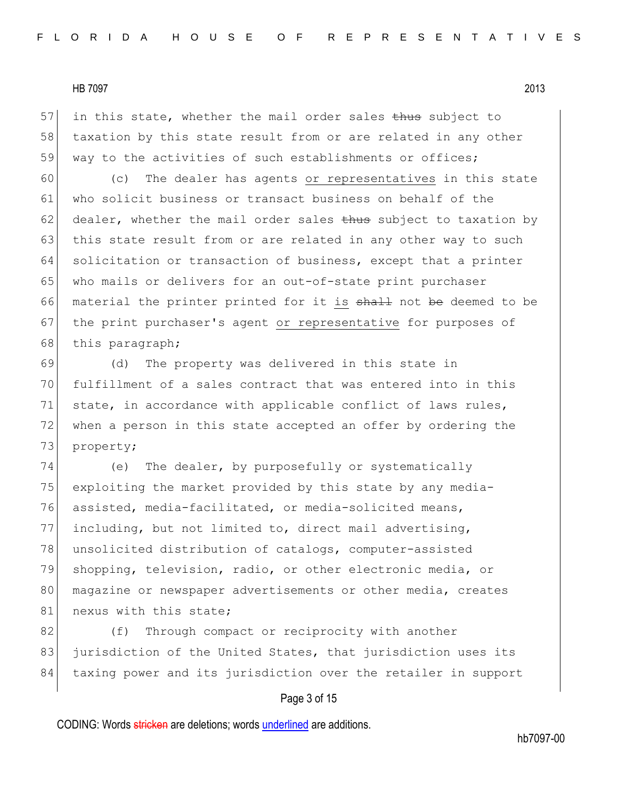$57$  in this state, whether the mail order sales thus subject to 58 taxation by this state result from or are related in any other 59 way to the activities of such establishments or offices;

60 (c) The dealer has agents or representatives in this state 61 who solicit business or transact business on behalf of the 62 dealer, whether the mail order sales  $t$ hus subject to taxation by 63 this state result from or are related in any other way to such 64 solicitation or transaction of business, except that a printer 65 who mails or delivers for an out-of-state print purchaser 66 material the printer printed for it is shall not be deemed to be 67 the print purchaser's agent or representative for purposes of 68 this paragraph;

69 (d) The property was delivered in this state in 70 fulfillment of a sales contract that was entered into in this 71 state, in accordance with applicable conflict of laws rules, 72 when a person in this state accepted an offer by ordering the 73 property;

74 (e) The dealer, by purposefully or systematically 75 exploiting the market provided by this state by any media-76 assisted, media-facilitated, or media-solicited means, 77 including, but not limited to, direct mail advertising, 78 unsolicited distribution of catalogs, computer-assisted 79 shopping, television, radio, or other electronic media, or 80 magazine or newspaper advertisements or other media, creates 81 nexus with this state;

82 (f) Through compact or reciprocity with another 83 jurisdiction of the United States, that jurisdiction uses its 84 taxing power and its jurisdiction over the retailer in support

# Page 3 of 15

CODING: Words stricken are deletions; words underlined are additions.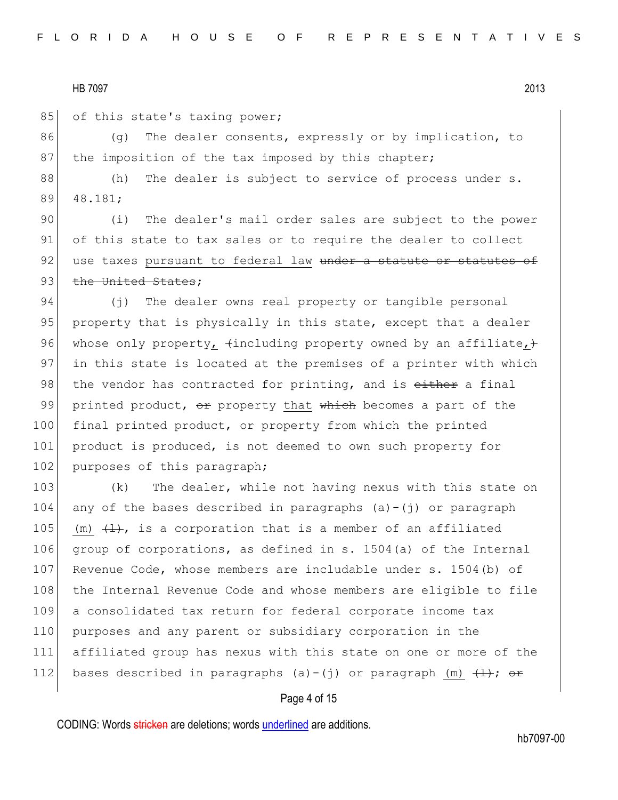85 of this state's taxing power;

86 (g) The dealer consents, expressly or by implication, to 87 the imposition of the tax imposed by this chapter;

88 (h) The dealer is subject to service of process under s. 89 48.181;

90 (i) The dealer's mail order sales are subject to the power 91 of this state to tax sales or to require the dealer to collect 92 use taxes pursuant to federal law under a statute or statutes of 93 the United States;

94 (i) The dealer owns real property or tangible personal 95 property that is physically in this state, except that a dealer 96 whose only property,  $\{$ including property owned by an affiliate, $\}$ 97 in this state is located at the premises of a printer with which 98 the vendor has contracted for printing, and is either a final 99 printed product,  $\Theta$  property that which becomes a part of the 100 final printed product, or property from which the printed 101 product is produced, is not deemed to own such property for 102 purposes of this paragraph;

103 (k) The dealer, while not having nexus with this state on 104 any of the bases described in paragraphs  $(a) - (i)$  or paragraph 105 (m)  $\left(\frac{1}{k}\right)$ , is a corporation that is a member of an affiliated 106 group of corporations, as defined in s. 1504(a) of the Internal 107 Revenue Code, whose members are includable under s. 1504(b) of 108 the Internal Revenue Code and whose members are eligible to file 109 a consolidated tax return for federal corporate income tax 110 purposes and any parent or subsidiary corporation in the 111 affiliated group has nexus with this state on one or more of the 112 bases described in paragraphs (a)-(j) or paragraph (m)  $\frac{1}{(1)}$ ; or

#### Page 4 of 15

CODING: Words stricken are deletions; words underlined are additions.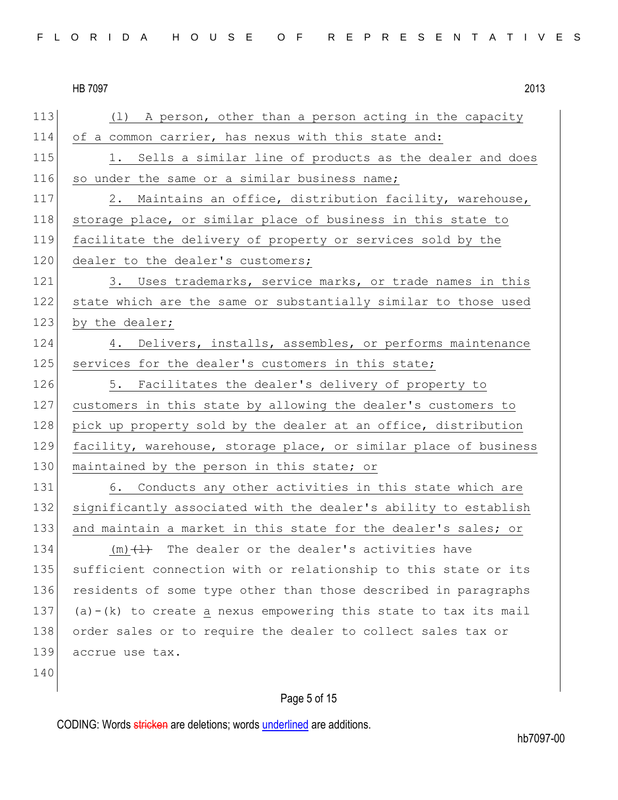113 (1) A person, other than a person acting in the capacity 114 of a common carrier, has nexus with this state and: 115 1. Sells a similar line of products as the dealer and does 116 so under the same or a similar business name; 117 2. Maintains an office, distribution facility, warehouse, 118 storage place, or similar place of business in this state to 119 facilitate the delivery of property or services sold by the 120 dealer to the dealer's customers; 121 3. Uses trademarks, service marks, or trade names in this 122 state which are the same or substantially similar to those used 123 by the dealer; 124 4. Delivers, installs, assembles, or performs maintenance 125 services for the dealer's customers in this state; 126 5. Facilitates the dealer's delivery of property to 127 customers in this state by allowing the dealer's customers to 128 pick up property sold by the dealer at an office, distribution 129 facility, warehouse, storage place, or similar place of business 130 maintained by the person in this state; or 131 6. Conducts any other activities in this state which are 132 significantly associated with the dealer's ability to establish 133 and maintain a market in this state for the dealer's sales; or 134  $(m)$   $(1)$  The dealer or the dealer's activities have 135 sufficient connection with or relationship to this state or its 136 residents of some type other than those described in paragraphs 137 (a)-(k) to create a nexus empowering this state to tax its mail 138 order sales or to require the dealer to collect sales tax or 139 accrue use tax. 140

# Page 5 of 15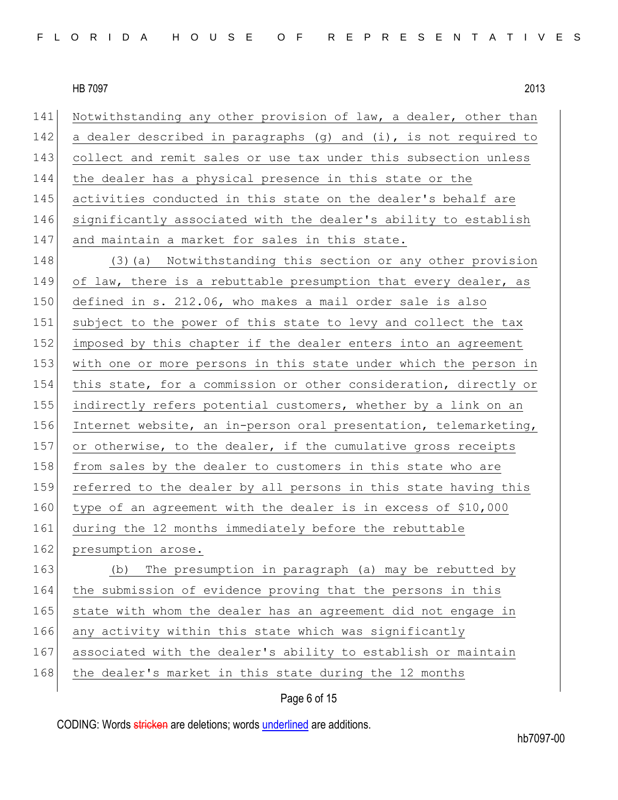141 Notwithstanding any other provision of law, a dealer, other than 142 a dealer described in paragraphs  $(q)$  and  $(i)$ , is not required to 143 collect and remit sales or use tax under this subsection unless 144 the dealer has a physical presence in this state or the 145 activities conducted in this state on the dealer's behalf are 146 significantly associated with the dealer's ability to establish 147 and maintain a market for sales in this state.

148 (3)(a) Notwithstanding this section or any other provision 149 of law, there is a rebuttable presumption that every dealer, as 150 defined in s. 212.06, who makes a mail order sale is also 151 subject to the power of this state to levy and collect the tax 152 imposed by this chapter if the dealer enters into an agreement 153 with one or more persons in this state under which the person in 154 this state, for a commission or other consideration, directly or 155 indirectly refers potential customers, whether by a link on an 156 Internet website, an in-person oral presentation, telemarketing, 157 or otherwise, to the dealer, if the cumulative gross receipts 158 from sales by the dealer to customers in this state who are 159 referred to the dealer by all persons in this state having this 160 type of an agreement with the dealer is in excess of \$10,000 161 during the 12 months immediately before the rebuttable 162 presumption arose. 163 (b) The presumption in paragraph (a) may be rebutted by 164 the submission of evidence proving that the persons in this 165 state with whom the dealer has an agreement did not engage in

- 166 any activity within this state which was significantly
- 167 associated with the dealer's ability to establish or maintain
- 168 the dealer's market in this state during the 12 months

# Page 6 of 15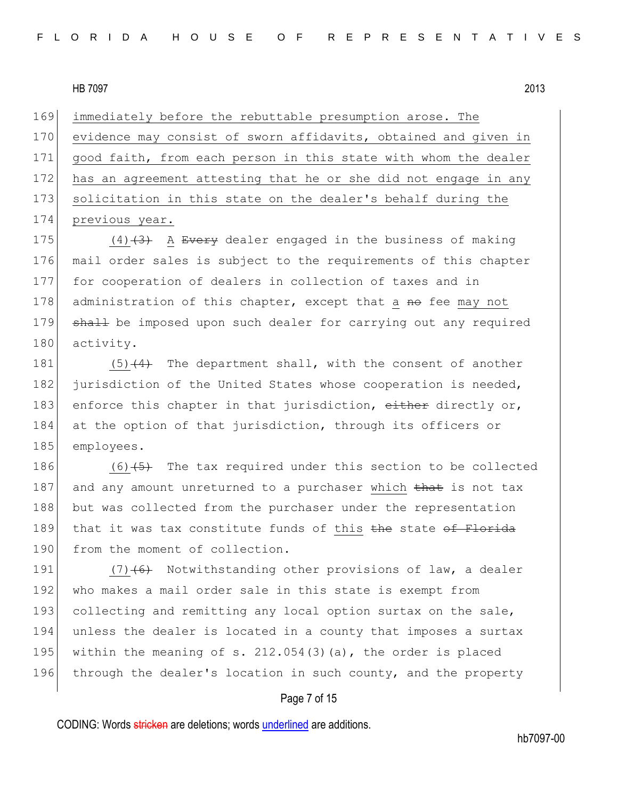169 immediately before the rebuttable presumption arose. The

170 evidence may consist of sworn affidavits, obtained and given in 171 good faith, from each person in this state with whom the dealer 172 has an agreement attesting that he or she did not engage in any 173 solicitation in this state on the dealer's behalf during the 174 previous year.

175  $(4)$   $(3)$  A Every dealer engaged in the business of making 176 mail order sales is subject to the requirements of this chapter 177 for cooperation of dealers in collection of taxes and in 178 administration of this chapter, except that a no fee may not 179 shall be imposed upon such dealer for carrying out any required 180 activity.

181  $(5)$   $(4)$  The department shall, with the consent of another 182 jurisdiction of the United States whose cooperation is needed, 183 enforce this chapter in that jurisdiction, either directly or, 184 at the option of that jurisdiction, through its officers or 185 employees.

186  $(6)$   $\overline{5}$  The tax required under this section to be collected 187 and any amount unreturned to a purchaser which that is not tax 188 but was collected from the purchaser under the representation 189 that it was tax constitute funds of this  $the$  state of Florida 190 from the moment of collection.

191  $(7)$   $(6)$  Notwithstanding other provisions of law, a dealer 192 who makes a mail order sale in this state is exempt from 193 collecting and remitting any local option surtax on the sale, 194 unless the dealer is located in a county that imposes a surtax 195 within the meaning of s. 212.054(3)(a), the order is placed 196 through the dealer's location in such county, and the property

#### Page 7 of 15

CODING: Words stricken are deletions; words underlined are additions.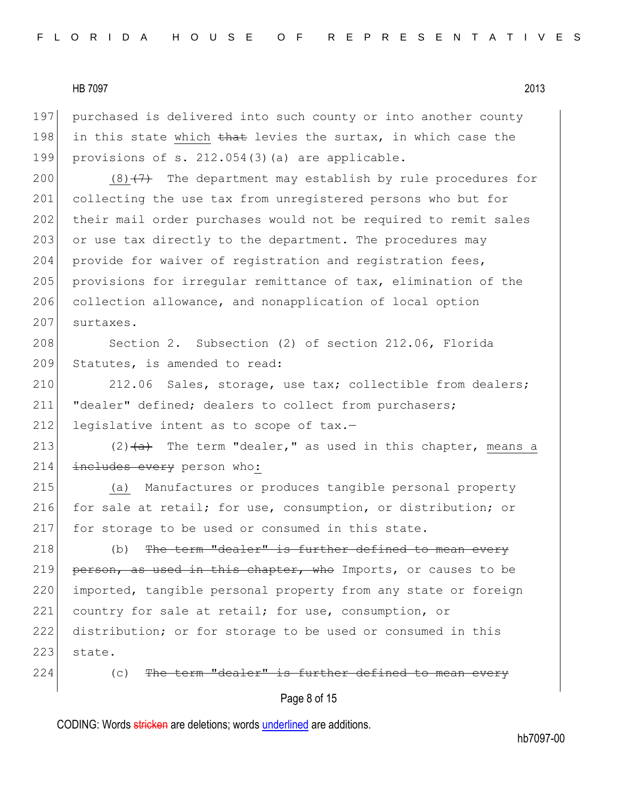197 purchased is delivered into such county or into another county 198 in this state which that levies the surtax, in which case the 199 provisions of s.  $212.054(3)$  (a) are applicable.

200 (8) $\left(7\right)$  The department may establish by rule procedures for 201 collecting the use tax from unregistered persons who but for 202 their mail order purchases would not be required to remit sales 203 or use tax directly to the department. The procedures may 204 provide for waiver of registration and registration fees, 205 provisions for irregular remittance of tax, elimination of the 206 collection allowance, and nonapplication of local option 207 surtaxes.

208 Section 2. Subsection (2) of section 212.06, Florida 209 Statutes, is amended to read:

210 212.06 Sales, storage, use tax; collectible from dealers; 211 "dealer" defined; dealers to collect from purchasers; 212 legislative intent as to scope of  $\text{tax.}$ -

213  $(2)$   $\leftarrow$  The term "dealer," as used in this chapter, means a 214 includes every person who:

215 (a) Manufactures or produces tangible personal property 216 for sale at retail; for use, consumption, or distribution; or 217 for storage to be used or consumed in this state.

218  $\vert$  (b) The term "dealer" is further defined to mean every 219 person, as used in this chapter, who Imports, or causes to be 220 imported, tangible personal property from any state or foreign 221 country for sale at retail; for use, consumption, or 222 distribution; or for storage to be used or consumed in this  $223$  state.

 $224$  (c) The term "dealer" is further defined to mean

#### Page 8 of 15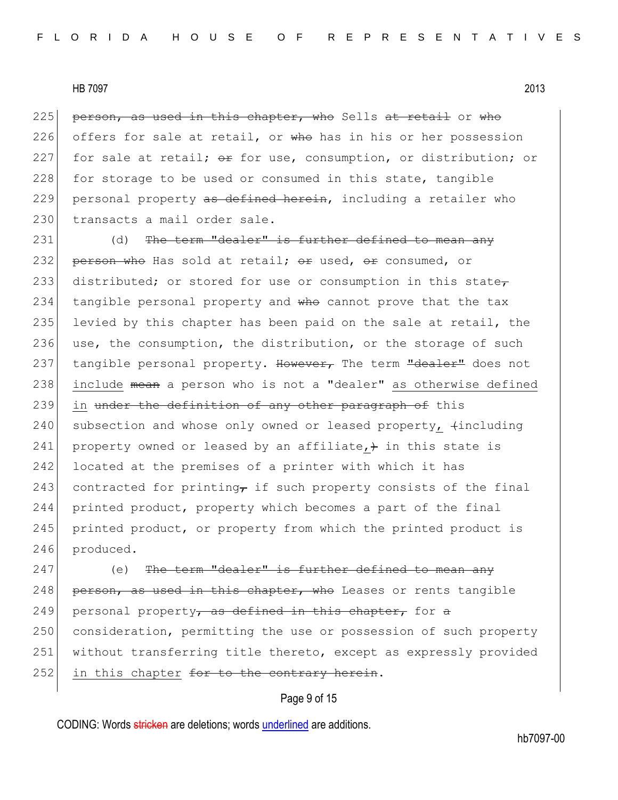225 person, as used in this chapter, who Sells at retail or who 226 offers for sale at retail, or  $w$  the has in his or her possession 227 for sale at retail;  $\theta$  for use, consumption, or distribution; or 228 for storage to be used or consumed in this state, tangible 229 personal property as defined herein, including a retailer who 230 transacts a mail order sale.

231 (d) The term "dealer" is further defined to mean any 232 person who Has sold at retail;  $\Theta$ r used,  $\Theta$ r consumed, or 233 distributed; or stored for use or consumption in this state $_{\tau}$ 234 tangible personal property and who cannot prove that the tax 235 levied by this chapter has been paid on the sale at retail, the 236 use, the consumption, the distribution, or the storage of such 237 tangible personal property. However, The term "dealer" does not 238 include mean a person who is not a "dealer" as otherwise defined 239 in under the definition of any other paragraph of this 240 subsection and whose only owned or leased property,  $\text{fincluding}$ 241 property owned or leased by an affiliate,  $+$  in this state is 242 located at the premises of a printer with which it has 243 contracted for printing, if such property consists of the final 244 printed product, property which becomes a part of the final 245 printed product, or property from which the printed product is 246 produced.

247 (e) The term "dealer" is further defined to mean any  $248$  person, as used in this chapter, who Leases or rents tangible 249 personal property, as defined in this chapter, for a 250 consideration, permitting the use or possession of such property 251 without transferring title thereto, except as expressly provided 252 in this chapter for to the contrary herein.

# Page 9 of 15

CODING: Words stricken are deletions; words underlined are additions.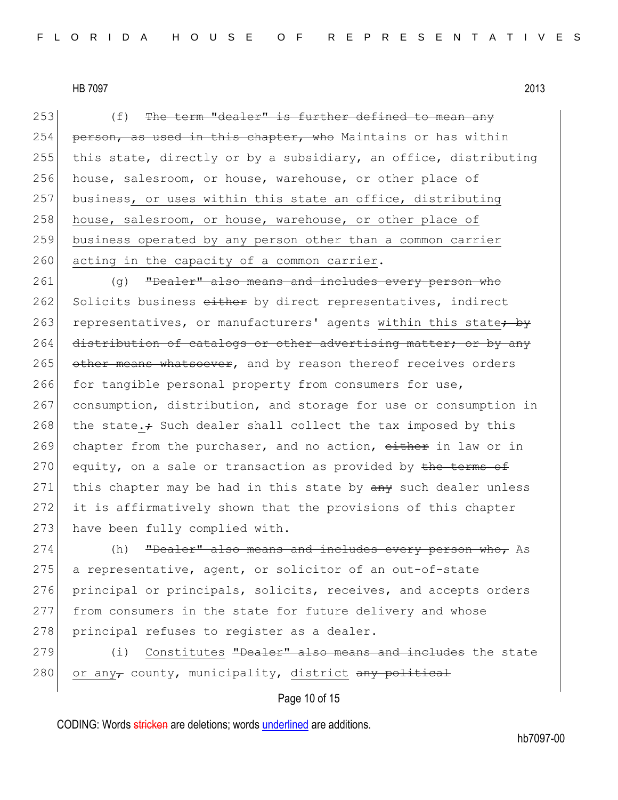$253$  (f) The term "dealer" is further defined to mean any 254 person, as used in this chapter, who Maintains or has within 255 this state, directly or by a subsidiary, an office, distributing 256 house, salesroom, or house, warehouse, or other place of 257 business, or uses within this state an office, distributing 258 house, salesroom, or house, warehouse, or other place of 259 business operated by any person other than a common carrier  $260$  acting in the capacity of a common carrier.

261 (g) "Dealer" also means and includes every person who 262 Solicits business either by direct representatives, indirect 263 representatives, or manufacturers' agents within this state<del>; by</del> 264 distribution of catalogs or other advertising matter; or by any 265 other means whatsoever, and by reason thereof receives orders 266 for tangible personal property from consumers for use, 267 consumption, distribution, and storage for use or consumption in 268 the state. $\div$  Such dealer shall collect the tax imposed by this 269 chapter from the purchaser, and no action, either in law or in 270 equity, on a sale or transaction as provided by the terms of 271 this chapter may be had in this state by any such dealer unless 272 it is affirmatively shown that the provisions of this chapter 273 have been fully complied with.

274 (h) "Dealer" also means and includes every person who, As 275 a representative, agent, or solicitor of an out-of-state 276 principal or principals, solicits, receives, and accepts orders 277 from consumers in the state for future delivery and whose 278 principal refuses to register as a dealer.

279 (i) Constitutes "Dealer" also means and includes the state 280 or any county, municipality, district any political

# Page 10 of 15

CODING: Words stricken are deletions; words underlined are additions.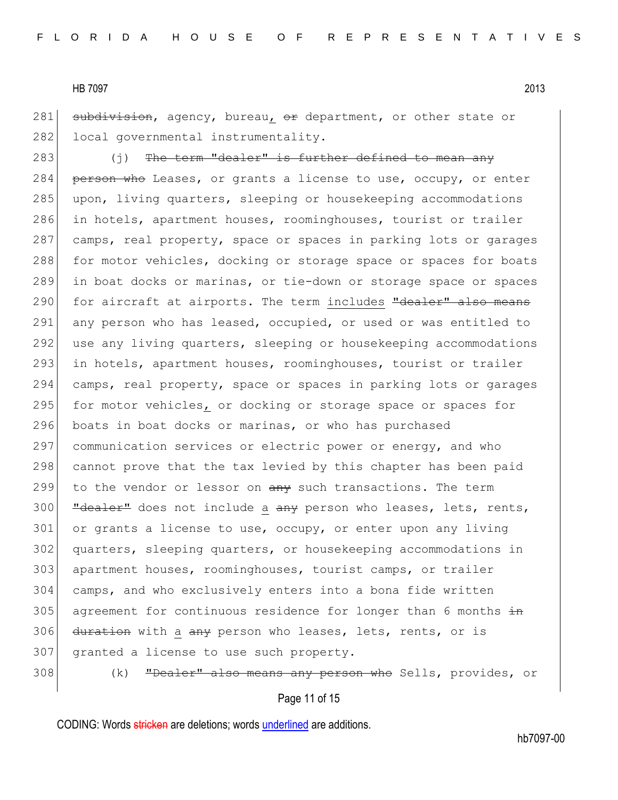281 subdivision, agency, bureau, or department, or other state or 282 local governmental instrumentality.

283 (j) The term "dealer" is further defined to mean any 284 person who Leases, or grants a license to use, occupy, or enter 285 upon, living quarters, sleeping or housekeeping accommodations 286 in hotels, apartment houses, roominghouses, tourist or trailer 287 camps, real property, space or spaces in parking lots or garages 288 for motor vehicles, docking or storage space or spaces for boats 289 in boat docks or marinas, or tie-down or storage space or spaces 290 for aircraft at airports. The term includes "dealer" also means 291 any person who has leased, occupied, or used or was entitled to 292 use any living quarters, sleeping or housekeeping accommodations 293 in hotels, apartment houses, roominghouses, tourist or trailer 294 camps, real property, space or spaces in parking lots or garages 295 for motor vehicles, or docking or storage space or spaces for 296 boats in boat docks or marinas, or who has purchased 297 communication services or electric power or energy, and who 298 cannot prove that the tax levied by this chapter has been paid 299 to the vendor or lessor on  $\frac{a}{b}$  such transactions. The term  $300$  "dealer" does not include a any person who leases, lets, rents,  $301$  or grants a license to use, occupy, or enter upon any living 302 quarters, sleeping quarters, or housekeeping accommodations in 303 apartment houses, roominghouses, tourist camps, or trailer 304 camps, and who exclusively enters into a bona fide written 305 agreement for continuous residence for longer than 6 months  $\frac{1}{2}$ 306 duration with a any person who leases, lets, rents, or is 307 granted a license to use such property.

308 (k) "Dealer" also means any person who Sells, provides, or

Page 11 of 15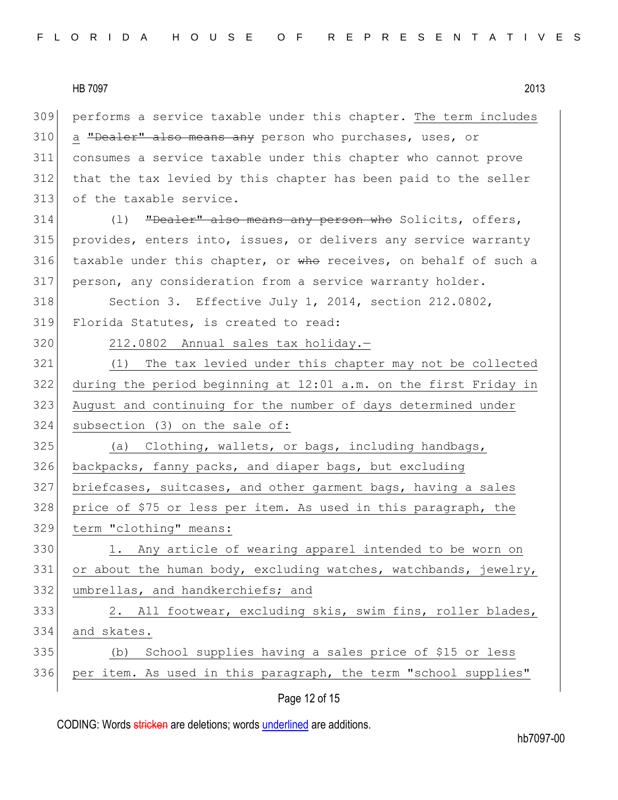performs a service taxable under this chapter. The term includes 310 a "Dealer" also means any person who purchases, uses, or consumes a service taxable under this chapter who cannot prove that the tax levied by this chapter has been paid to the seller of the taxable service.

314 (1) "Dealer" also means any person who Solicits, offers, 315 provides, enters into, issues, or delivers any service warranty 316 taxable under this chapter, or who receives, on behalf of such a 317 person, any consideration from a service warranty holder.

318 Section 3. Effective July 1, 2014, section 212.0802, 319 Florida Statutes, is created to read:

320 212.0802 Annual sales tax holiday.-

 (1) The tax levied under this chapter may not be collected during the period beginning at 12:01 a.m. on the first Friday in August and continuing for the number of days determined under subsection (3) on the sale of:

325 (a) Clothing, wallets, or bags, including handbags, backpacks, fanny packs, and diaper bags, but excluding briefcases, suitcases, and other garment bags, having a sales price of \$75 or less per item. As used in this paragraph, the term "clothing" means:

330 1. Any article of wearing apparel intended to be worn on 331 or about the human body, excluding watches, watchbands, jewelry, 332 umbrellas, and handkerchiefs; and

333 333 2. All footwear, excluding skis, swim fins, roller blades, 334 and skates.

# 335 (b) School supplies having a sales price of \$15 or less 336 per item. As used in this paragraph, the term "school supplies"

#### Page 12 of 15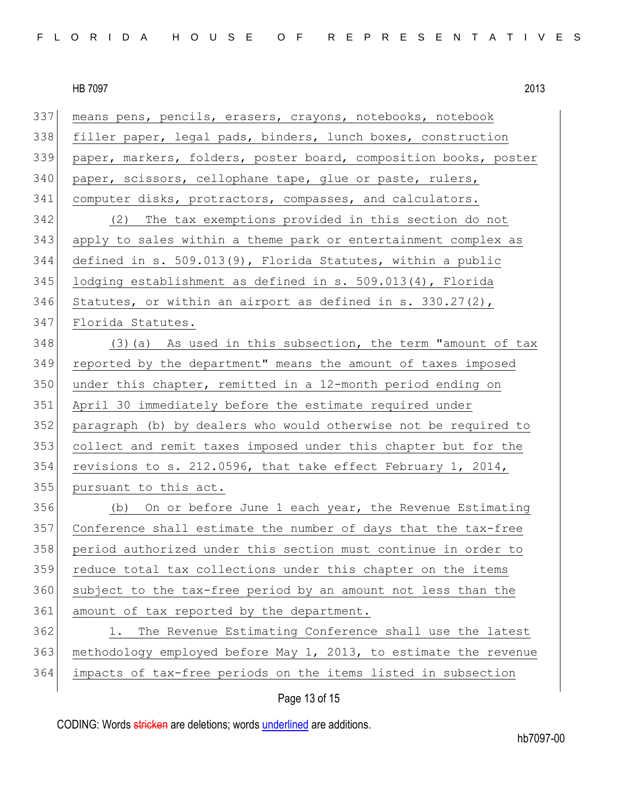| 337 | means pens, pencils, erasers, crayons, notebooks, notebook       |
|-----|------------------------------------------------------------------|
| 338 | filler paper, legal pads, binders, lunch boxes, construction     |
| 339 | paper, markers, folders, poster board, composition books, poster |
| 340 | paper, scissors, cellophane tape, glue or paste, rulers,         |
| 341 | computer disks, protractors, compasses, and calculators.         |
| 342 | (2) The tax exemptions provided in this section do not           |
| 343 | apply to sales within a theme park or entertainment complex as   |
| 344 | defined in s. 509.013(9), Florida Statutes, within a public      |
| 345 | lodging establishment as defined in s. 509.013(4), Florida       |
| 346 | Statutes, or within an airport as defined in s. $330.27(2)$ ,    |
| 347 | Florida Statutes.                                                |
| 348 | $(3)$ (a) As used in this subsection, the term "amount of tax    |
| 349 | reported by the department" means the amount of taxes imposed    |
| 350 | under this chapter, remitted in a 12-month period ending on      |
| 351 | April 30 immediately before the estimate required under          |
| 352 | paragraph (b) by dealers who would otherwise not be required to  |
| 353 | collect and remit taxes imposed under this chapter but for the   |
| 354 | revisions to s. 212.0596, that take effect February 1, 2014,     |
| 355 | pursuant to this act.                                            |
| 356 | (b) On or before June 1 each year, the Revenue Estimating        |
| 357 | Conference shall estimate the number of days that the tax-free   |
| 358 | period authorized under this section must continue in order to   |
| 359 | reduce total tax collections under this chapter on the items     |
| 360 | subject to the tax-free period by an amount not less than the    |
| 361 | amount of tax reported by the department.                        |
| 362 | The Revenue Estimating Conference shall use the latest<br>1.     |
| 363 | methodology employed before May 1, 2013, to estimate the revenue |
| 364 | impacts of tax-free periods on the items listed in subsection    |
|     |                                                                  |

# Page 13 of 15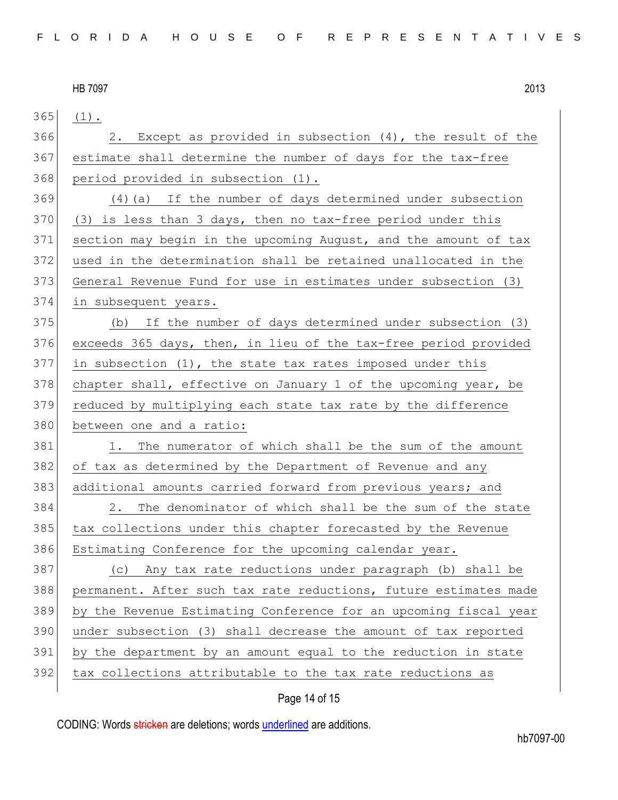(1). 366 2. Except as provided in subsection  $(4)$ , the result of the estimate shall determine the number of days for the tax-free period provided in subsection (1). (4)(a) If the number of days determined under subsection (3) is less than 3 days, then no tax-free period under this section may begin in the upcoming August, and the amount of tax used in the determination shall be retained unallocated in the General Revenue Fund for use in estimates under subsection (3) in subsequent years. (b) If the number of days determined under subsection (3) exceeds 365 days, then, in lieu of the tax-free period provided in subsection (1), the state tax rates imposed under this chapter shall, effective on January 1 of the upcoming year, be 379 reduced by multiplying each state tax rate by the difference 380 between one and a ratio: 381 1. The numerator of which shall be the sum of the amount of tax as determined by the Department of Revenue and any 383 additional amounts carried forward from previous years; and 2. The denominator of which shall be the sum of the state tax collections under this chapter forecasted by the Revenue 386 Estimating Conference for the upcoming calendar year. (c) Any tax rate reductions under paragraph (b) shall be permanent. After such tax rate reductions, future estimates made by the Revenue Estimating Conference for an upcoming fiscal year 390 under subsection (3) shall decrease the amount of tax reported by the department by an amount equal to the reduction in state 392 tax collections attributable to the tax rate reductions as

# Page 14 of 15